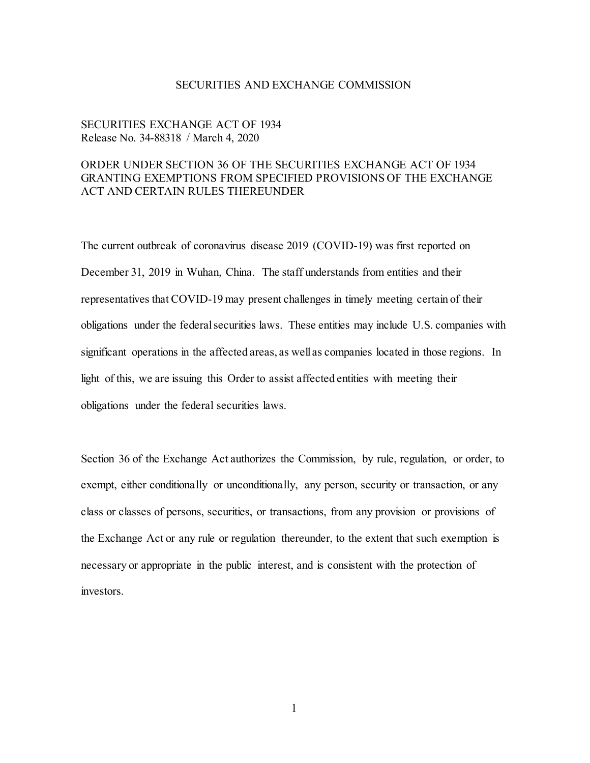## SECURITIES AND EXCHANGE COMMISSION

# SECURITIES EXCHANGE ACT OF 1934 Release No. 34-88318 / March 4, 2020

# ORDER UNDER SECTION 36 OF THE SECURITIES EXCHANGE ACT OF 1934 GRANTING EXEMPTIONS FROM SPECIFIED PROVISIONS OF THE EXCHANGE ACT AND CERTAIN RULES THEREUNDER

The current outbreak of coronavirus disease 2019 (COVID-19) was first reported on December 31, 2019 in Wuhan, China. The staff understands from entities and their representatives that COVID-19 may present challenges in timely meeting certain of their obligations under the federal securities laws. These entities may include U.S. companies with significant operations in the affected areas, as well as companies located in those regions. In light of this, we are issuing this Order to assist affected entities with meeting their obligations under the federal securities laws.

Section 36 of the Exchange Act authorizes the Commission, by rule, regulation, or order, to exempt, either conditionally or unconditionally, any person, security or transaction, or any class or classes of persons, securities, or transactions, from any provision or provisions of the Exchange Act or any rule or regulation thereunder, to the extent that such exemption is necessary or appropriate in the public interest, and is consistent with the protection of investors.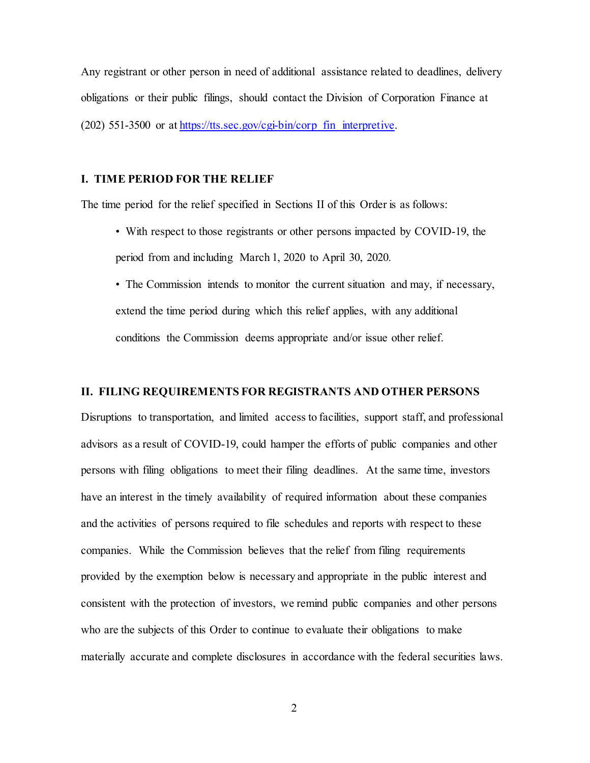Any registrant or other person in need of additional assistance related to deadlines, delivery obligations or their public filings, should contact the Division of Corporation Finance at (202) 551-3500 or a[t https://tts.sec.gov/cgi-bin/corp\\_fin\\_interpretive.](https://tts.sec.gov/cgi-bin/corp_fin_interpretive)

## **I. TIME PERIOD FOR THE RELIEF**

The time period for the relief specified in Sections II of this Order is as follows:

- With respect to those registrants or other persons impacted by COVID-19, the period from and including March 1, 2020 to April 30, 2020.
- The Commission intends to monitor the current situation and may, if necessary, extend the time period during which this relief applies, with any additional conditions the Commission deems appropriate and/or issue other relief.

#### **II. FILING REQUIREMENTS FOR REGISTRANTS AND OTHER PERSONS**

Disruptions to transportation, and limited access to facilities, support staff, and professional advisors as a result of COVID-19, could hamper the efforts of public companies and other persons with filing obligations to meet their filing deadlines. At the same time, investors have an interest in the timely availability of required information about these companies and the activities of persons required to file schedules and reports with respect to these companies. While the Commission believes that the relief from filing requirements provided by the exemption below is necessary and appropriate in the public interest and consistent with the protection of investors, we remind public companies and other persons who are the subjects of this Order to continue to evaluate their obligations to make materially accurate and complete disclosures in accordance with the federal securities laws.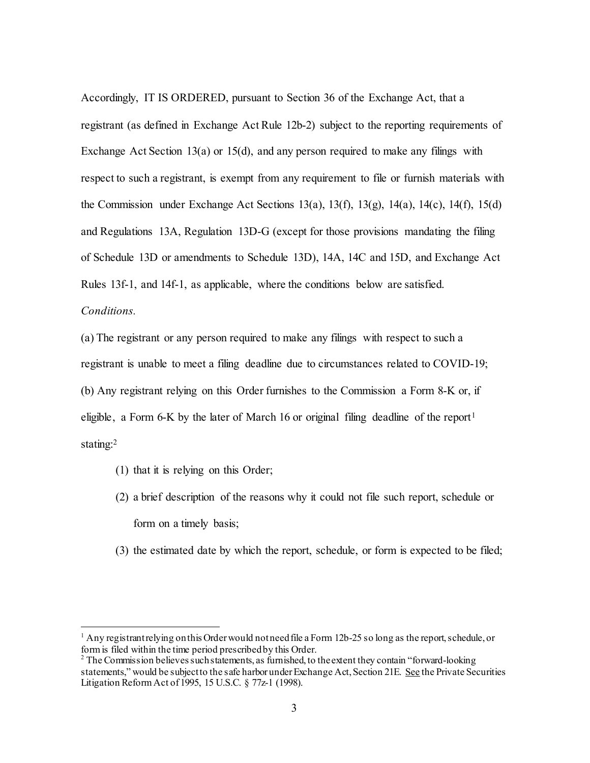Accordingly, IT IS ORDERED, pursuant to Section 36 of the Exchange Act, that a registrant (as defined in Exchange Act Rule 12b-2) subject to the reporting requirements of Exchange Act Section 13(a) or 15(d), and any person required to make any filings with respect to such a registrant, is exempt from any requirement to file or furnish materials with the Commission under Exchange Act Sections 13(a), 13(f), 13(g), 14(a), 14(c), 14(f), 15(d) and Regulations 13A, Regulation 13D-G (except for those provisions mandating the filing of Schedule 13D or amendments to Schedule 13D), 14A, 14C and 15D, and Exchange Act Rules 13f-1, and 14f-1, as applicable, where the conditions below are satisfied. *Conditions.*

(a) The registrant or any person required to make any filings with respect to such a registrant is unable to meet a filing deadline due to circumstances related to COVID-19; (b) Any registrant relying on this Order furnishes to the Commission a Form 8-K or, if eligible, a Form 6-K by the later of March [1](#page-2-0)6 or original filing deadline of the report<sup>1</sup> stating:[2](#page-2-1)

- (1) that it is relying on this Order;
- (2) a brief description of the reasons why it could not file such report, schedule or form on a timely basis;
- (3) the estimated date by which the report, schedule, or form is expected to be filed;

<span id="page-2-0"></span><sup>&</sup>lt;sup>1</sup> Any registrant relying on this Order would not need file a Form 12b-25 so long as the report, schedule, or form is filed within the time period prescribed by this Order.<br><sup>2</sup> The Commission believes such statements, as furnished, to the extent they contain "forward-looking"

<span id="page-2-1"></span>statements," would be subject to the safe harbor underExchange Act, Section 21E. See the Private Securities Litigation Reform Act of 1995, 15 U.S.C. § 77z-1 (1998).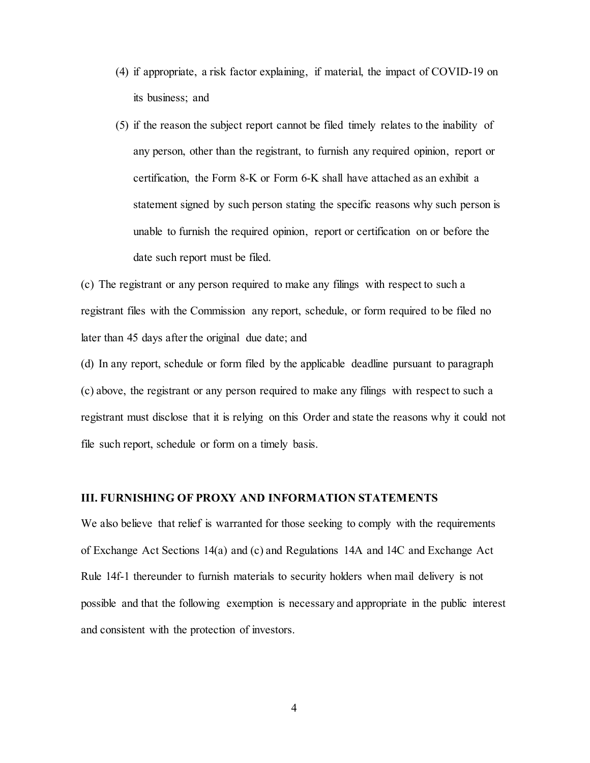- (4) if appropriate, a risk factor explaining, if material, the impact of COVID-19 on its business; and
- (5) if the reason the subject report cannot be filed timely relates to the inability of any person, other than the registrant, to furnish any required opinion, report or certification, the Form 8-K or Form 6-K shall have attached as an exhibit a statement signed by such person stating the specific reasons why such person is unable to furnish the required opinion, report or certification on or before the date such report must be filed.

(c) The registrant or any person required to make any filings with respect to such a registrant files with the Commission any report, schedule, or form required to be filed no later than 45 days after the original due date; and

(d) In any report, schedule or form filed by the applicable deadline pursuant to paragraph (c) above, the registrant or any person required to make any filings with respect to such a registrant must disclose that it is relying on this Order and state the reasons why it could not file such report, schedule or form on a timely basis.

# **III. FURNISHING OF PROXY AND INFORMATION STATEMENTS**

We also believe that relief is warranted for those seeking to comply with the requirements of Exchange Act Sections 14(a) and (c) and Regulations 14A and 14C and Exchange Act Rule 14f-1 thereunder to furnish materials to security holders when mail delivery is not possible and that the following exemption is necessary and appropriate in the public interest and consistent with the protection of investors.